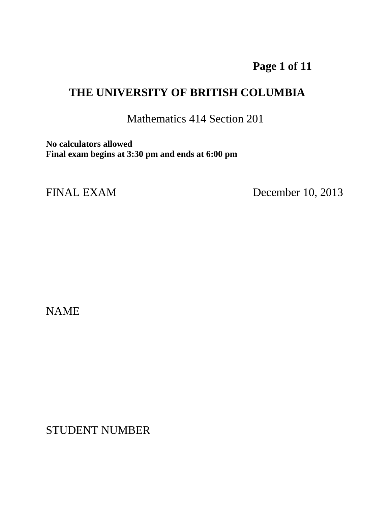## **Page 1 of 11**

## **THE UNIVERSITY OF BRITISH COLUMBIA**

Mathematics 414 Section 201

**No calculators allowed Final exam begins at 3:30 pm and ends at 6:00 pm**

FINAL EXAM December 10, 2013

NAME

STUDENT NUMBER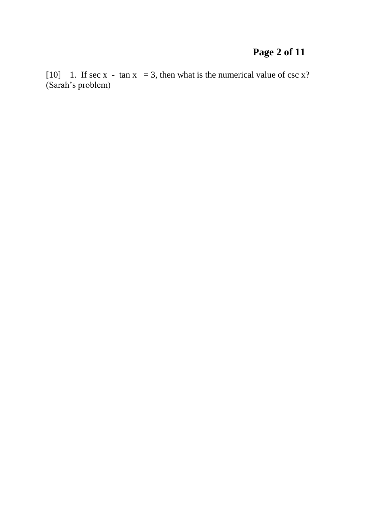# **Page 2 of 11**

[10] 1. If sec x - tan  $x = 3$ , then what is the numerical value of csc x? (Sarah's problem)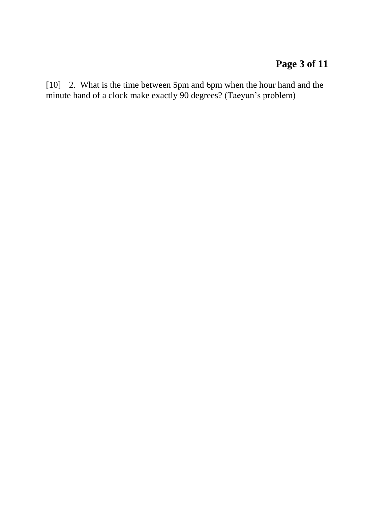## **Page 3 of 11**

[10] 2. What is the time between 5pm and 6pm when the hour hand and the minute hand of a clock make exactly 90 degrees? (Taeyun's problem)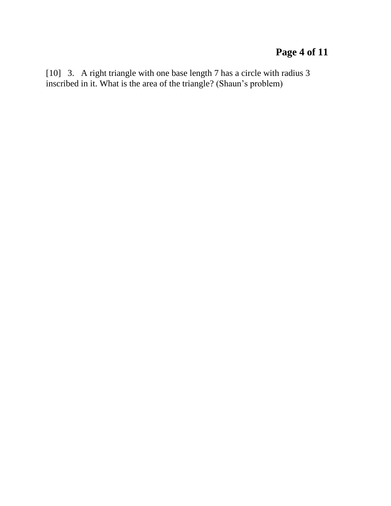## **Page 4 of 11**

[10] 3. A right triangle with one base length 7 has a circle with radius 3 inscribed in it. What is the area of the triangle? (Shaun's problem)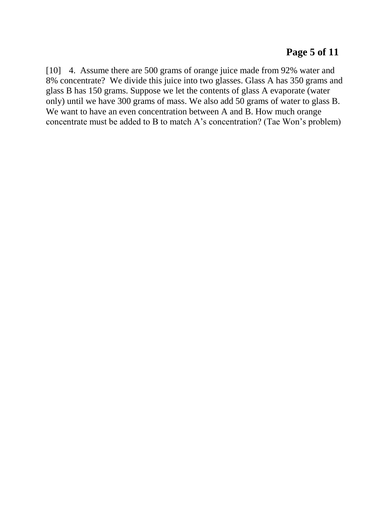#### **Page 5 of 11**

[10] 4. Assume there are 500 grams of orange juice made from 92% water and 8% concentrate? We divide this juice into two glasses. Glass A has 350 grams and glass B has 150 grams. Suppose we let the contents of glass A evaporate (water only) until we have 300 grams of mass. We also add 50 grams of water to glass B. We want to have an even concentration between A and B. How much orange concentrate must be added to B to match A's concentration? (Tae Won's problem)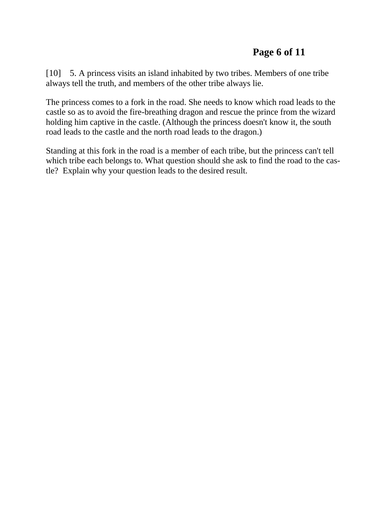[10] 5. A princess visits an island inhabited by two tribes. Members of one tribe always tell the truth, and members of the other tribe always lie.

The princess comes to a fork in the road. She needs to know which road leads to the castle so as to avoid the fire-breathing dragon and rescue the prince from the wizard holding him captive in the castle. (Although the princess doesn't know it, the south road leads to the castle and the north road leads to the dragon.)

Standing at this fork in the road is a member of each tribe, but the princess can't tell which tribe each belongs to. What question should she ask to find the road to the castle? Explain why your question leads to the desired result.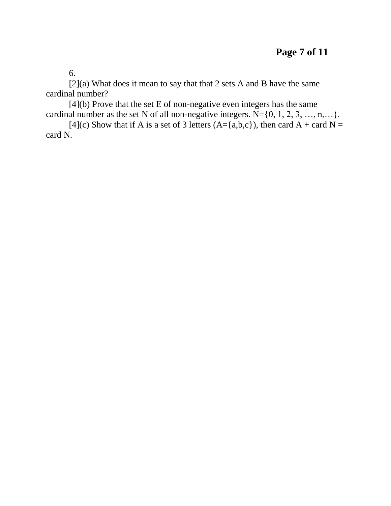6.

[2](a) What does it mean to say that that 2 sets A and B have the same cardinal number?

[4](b) Prove that the set E of non-negative even integers has the same cardinal number as the set N of all non-negative integers.  $N = \{0, 1, 2, 3, ..., n, ...\}$ .

[4](c) Show that if A is a set of 3 letters (A={a,b,c}), then card A + card N = card N.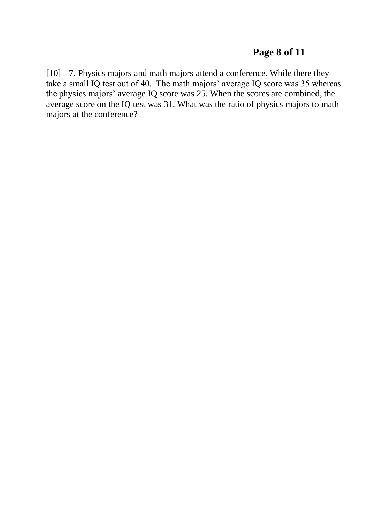#### **Page 8 of 11**

[10] 7. Physics majors and math majors attend a conference. While there they take a small IQ test out of 40. The math majors' average IQ score was 35 whereas the physics majors' average IQ score was 25. When the scores are combined, the average score on the IQ test was 31. What was the ratio of physics majors to math majors at the conference?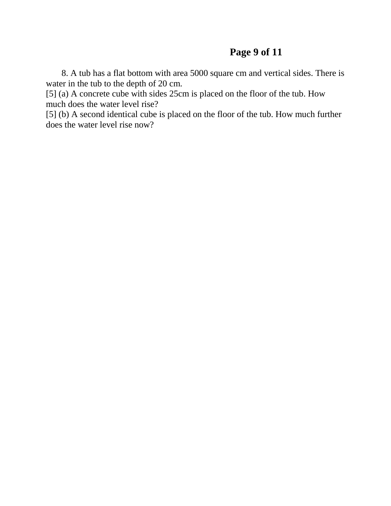#### **Page 9 of 11**

 8. A tub has a flat bottom with area 5000 square cm and vertical sides. There is water in the tub to the depth of 20 cm.

[5] (a) A concrete cube with sides 25cm is placed on the floor of the tub. How much does the water level rise?

[5] (b) A second identical cube is placed on the floor of the tub. How much further does the water level rise now?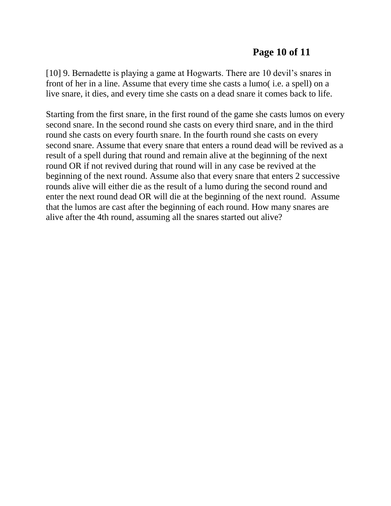#### **Page 10 of 11**

[10] 9. Bernadette is playing a game at Hogwarts. There are 10 devil's snares in front of her in a line. Assume that every time she casts a lumo( i.e. a spell) on a live snare, it dies, and every time she casts on a dead snare it comes back to life.

Starting from the first snare, in the first round of the game she casts lumos on every second snare. In the second round she casts on every third snare, and in the third round she casts on every fourth snare. In the fourth round she casts on every second snare. Assume that every snare that enters a round dead will be revived as a result of a spell during that round and remain alive at the beginning of the next round OR if not revived during that round will in any case be revived at the beginning of the next round. Assume also that every snare that enters 2 successive rounds alive will either die as the result of a lumo during the second round and enter the next round dead OR will die at the beginning of the next round. Assume that the lumos are cast after the beginning of each round. How many snares are alive after the 4th round, assuming all the snares started out alive?